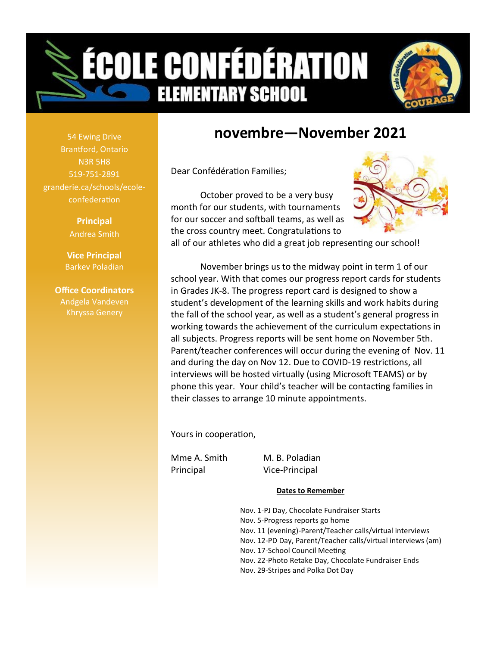



# **novembre—November 2021**

Dear Confédération Families;

October proved to be a very busy month for our students, with tournaments for our soccer and softball teams, as well as the cross country meet. Congratulations to



all of our athletes who did a great job representing our school!

November brings us to the midway point in term 1 of our school year. With that comes our progress report cards for students in Grades JK-8. The progress report card is designed to show a student's development of the learning skills and work habits during the fall of the school year, as well as a student's general progress in working towards the achievement of the curriculum expectations in all subjects. Progress reports will be sent home on November 5th. Parent/teacher conferences will occur during the evening of Nov. 11 and during the day on Nov 12. Due to COVID-19 restrictions, all interviews will be hosted virtually (using Microsoft TEAMS) or by phone this year. Your child's teacher will be contacting families in their classes to arrange 10 minute appointments.

Yours in cooperation,

Principal Vice-Principal

Mme A. Smith M. B. Poladian

#### **Dates to Remember**

Nov. 1-PJ Day, Chocolate Fundraiser Starts Nov. 5-Progress reports go home Nov. 11 (evening)-Parent/Teacher calls/virtual interviews Nov. 12-PD Day, Parent/Teacher calls/virtual interviews (am) Nov. 17-School Council Meeting Nov. 22-Photo Retake Day, Chocolate Fundraiser Ends Nov. 29-Stripes and Polka Dot Day

54 Ewing Drive Brantford, Ontario N3R 5H8 519-751-2891 granderie.ca/schools/ecoleconfederation

> **Principal** Andrea Smith

**Vice Principal** Barkev Poladian

**Office Coordinators** Andgela Vandeven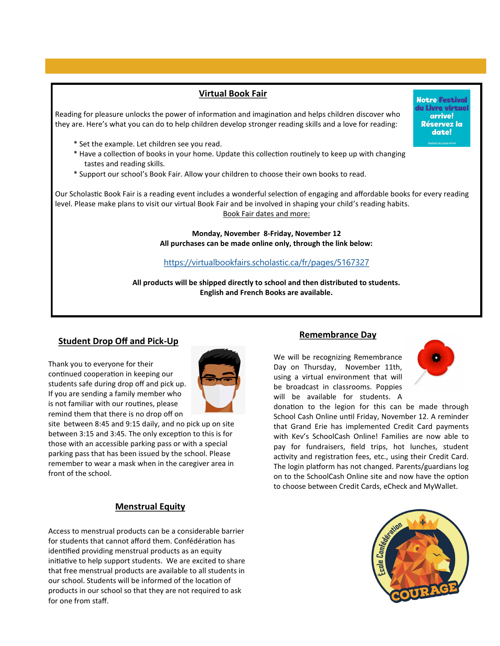### **Virtual Book Fair**

Reading for pleasure unlocks the power of information and imagination and helps children discover who they are. Here's what you can do to help children develop stronger reading skills and a love for reading:

- \* Set the example. Let children see you read.
- \* Have a collection of books in your home. Update this collection routinely to keep up with changing tastes and reading skills.
- \* Support our school's Book Fair. Allow your children to choose their own books to read.

Our Scholastic Book Fair is a reading event includes a wonderful selection of engaging and affordable books for every reading level. Please make plans to visit our virtual Book Fair and be involved in shaping your child's reading habits. Book Fair dates and more:

> **Monday, November 8-Friday, November 12 All purchases can be made online only, through the link below:**

<https://virtualbookfairs.scholastic.ca/fr/pages/5167327>

**All products will be shipped directly to school and then distributed to students. English and French Books are available.**

#### **Student Drop Off and Pick-Up**

Thank you to everyone for their continued cooperation in keeping our students safe during drop off and pick up. If you are sending a family member who is not familiar with our routines, please remind them that there is no drop off on



site between 8:45 and 9:15 daily, and no pick up on site between 3:15 and 3:45. The only exception to this is for those with an accessible parking pass or with a special parking pass that has been issued by the school. Please remember to wear a mask when in the caregiver area in front of the school.

#### **Menstrual Equity**

Access to menstrual products can be a considerable barrier for students that cannot afford them. Confédération has identified providing menstrual products as an equity initiative to help support students. We are excited to share that free menstrual products are available to all students in our school. Students will be informed of the location of products in our school so that they are not required to ask for one from staff.

#### **Remembrance Day**

We will be recognizing Remembrance Day on Thursday, November 11th, using a virtual environment that will be broadcast in classrooms. Poppies will be available for students. A



donation to the legion for this can be made through School Cash Online until Friday, November 12. A reminder that Grand Erie has implemented Credit Card payments with Kev's SchoolCash Online! Families are now able to pay for fundraisers, field trips, hot lunches, student activity and registration fees, etc., using their Credit Card. The login platform has not changed. Parents/guardians log on to the SchoolCash Online site and now have the option to choose between Credit Cards, eCheck and MyWallet.



**Notre Festival** du Livre virtuel arrive! Réservez la date!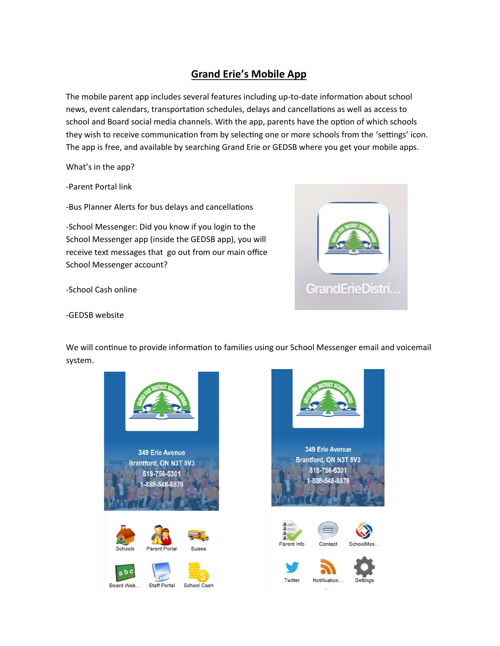## **Grand Erie's Mobile App**

The mobile parent app includes several features including up-to-date information about school news, event calendars, transportation schedules, delays and cancellations as well as access to school and Board social media channels. With the app, parents have the option of which schools they wish to receive communication from by selecting one or more schools from the 'settings' icon. The app is free, and available by searching Grand Erie or GEDSB where you get your mobile apps.

What's in the app?

-Parent Portal link

-Bus Planner Alerts for bus delays and cancellations

-School Messenger: Did you know if you login to the School Messenger app (inside the GEDSB app), you will receive text messages that go out from our main office School Messenger account?

-School Cash online



-GEDSB website

We will continue to provide information to families using our School Messenger email and voicemail system.



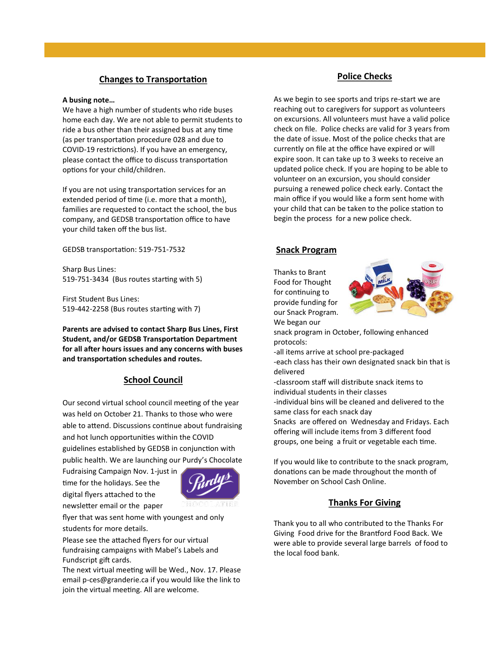#### **Changes to Transportation**

#### **A busing note…**

We have a high number of students who ride buses home each day. We are not able to permit students to ride a bus other than their assigned bus at any time (as per transportation procedure 028 and due to COVID-19 restrictions). If you have an emergency, please contact the office to discuss transportation options for your child/children.

If you are not using transportation services for an extended period of time (i.e. more that a month), families are requested to contact the school, the bus company, and GEDSB transportation office to have your child taken off the bus list.

GEDSB transportation: 519-751-7532

Sharp Bus Lines: 519-751-3434 (Bus routes starting with 5)

First Student Bus Lines: 519-442-2258 (Bus routes starting with 7)

**Parents are advised to contact Sharp Bus Lines, First Student, and/or GEDSB Transportation Department for all after hours issues and any concerns with buses and transportation schedules and routes.**

#### **School Council**

Our second virtual school council meeting of the year was held on October 21. Thanks to those who were able to attend. Discussions continue about fundraising and hot lunch opportunities within the COVID guidelines established by GEDSB in conjunction with public health. We are launching our Purdy's Chocolate

Fudraising Campaign Nov. 1-just in time for the holidays. See the digital flyers attached to the newsletter email or the paper



flyer that was sent home with youngest and only students for more details.

Please see the attached flyers for our virtual fundraising campaigns with Mabel's Labels and Fundscript gift cards.

The next virtual meeting will be Wed., Nov. 17. Please email p-ces@granderie.ca if you would like the link to join the virtual meeting. All are welcome.

#### **Police Checks**

As we begin to see sports and trips re-start we are reaching out to caregivers for support as volunteers on excursions. All volunteers must have a valid police check on file. Police checks are valid for 3 years from the date of issue. Most of the police checks that are currently on file at the office have expired or will expire soon. It can take up to 3 weeks to receive an updated police check. If you are hoping to be able to volunteer on an excursion, you should consider pursuing a renewed police check early. Contact the main office if you would like a form sent home with your child that can be taken to the police station to begin the process for a new police check.

#### **Snack Program**

Thanks to Brant Food for Thought for continuing to provide funding for our Snack Program. We began our



snack program in October, following enhanced protocols:

-all items arrive at school pre-packaged

-each class has their own designated snack bin that is delivered

-classroom staff will distribute snack items to individual students in their classes -individual bins will be cleaned and delivered to the

same class for each snack day

Snacks are offered on Wednesday and Fridays. Each offering will include items from 3 different food groups, one being a fruit or vegetable each time.

If you would like to contribute to the snack program, donations can be made throughout the month of November on School Cash Online.

#### **Thanks For Giving**

Thank you to all who contributed to the Thanks For Giving Food drive for the Brantford Food Back. We were able to provide several large barrels of food to the local food bank.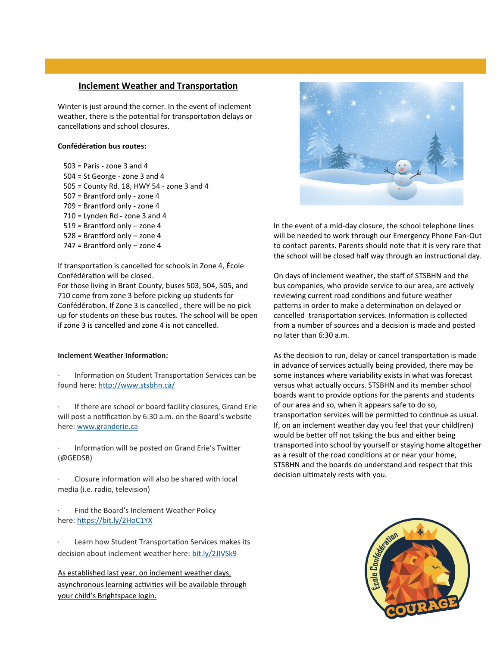#### **Inclement Weather and Transportation**

Winter is just around the corner. In the event of inclement weather, there is the potential for transportation delays or cancellations and school closures.

#### **Confédération bus routes:**

 503 = Paris - zone 3 and 4 504 = St George - zone 3 and 4 505 = County Rd. 18, HWY 54 - zone 3 and 4 507 = Brantford only - zone 4 709 = Brantford only - zone 4 710 = Lynden Rd - zone 3 and 4 519 = Brantford only – zone 4 528 = Brantford only – zone 4 747 = Brantford only – zone 4

If transportation is cancelled for schools in Zone 4, École Confédération will be closed.

For those living in Brant County, buses 503, 504, 505, and 710 come from zone 3 before picking up students for Confédération. If Zone 3 is cancelled , there will be no pick up for students on these bus routes. The school will be open if zone 3 is cancelled and zone 4 is not cancelled.

#### **Inclement Weather Information:**

Information on Student Transportation Services can be found here: <http://www.stsbhn.ca/>

If there are school or board facility closures, Grand Erie will post a notification by 6:30 a.m. on the Board's website here: [www.granderie.ca](https://www.granderie.ca)

· Information will be posted on Grand Erie's Twitter (@GEDSB)

Closure information will also be shared with local media (i.e. radio, television)

Find the Board's Inclement Weather Policy here: <https://bit.ly/2HoC1YX>

Learn how Student Transportation Services makes its decision about inclement weather here: [bit.ly/2JIVSk9](https://bit.ly/2JIVSk9)

As established last year, on inclement weather days, asynchronous learning activities will be available through your child's Brightspace login.



In the event of a mid-day closure, the school telephone lines will be needed to work through our Emergency Phone Fan-Out to contact parents. Parents should note that it is very rare that the school will be closed half way through an instructional day.

On days of inclement weather, the staff of STSBHN and the bus companies, who provide service to our area, are actively reviewing current road conditions and future weather patterns in order to make a determination on delayed or cancelled transportation services. Information is collected from a number of sources and a decision is made and posted no later than 6:30 a.m.

As the decision to run, delay or cancel transportation is made in advance of services actually being provided, there may be some instances where variability exists in what was forecast versus what actually occurs. STSBHN and its member school boards want to provide options for the parents and students of our area and so, when it appears safe to do so, transportation services will be permitted to continue as usual. If, on an inclement weather day you feel that your child(ren) would be better off not taking the bus and either being transported into school by yourself or staying home altogether as a result of the road conditions at or near your home, STSBHN and the boards do understand and respect that this decision ultimately rests with you.

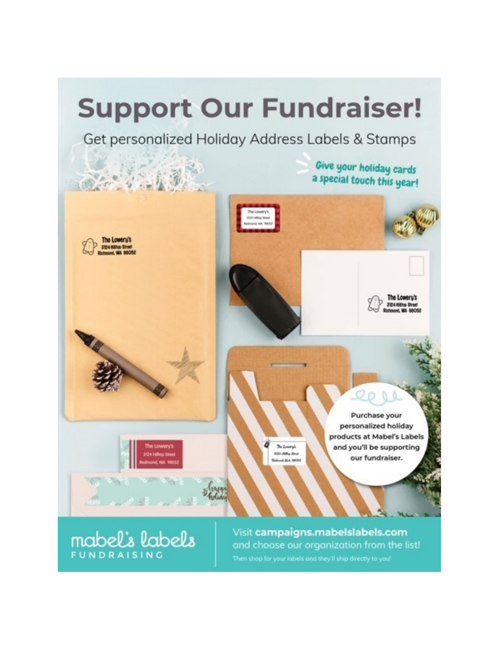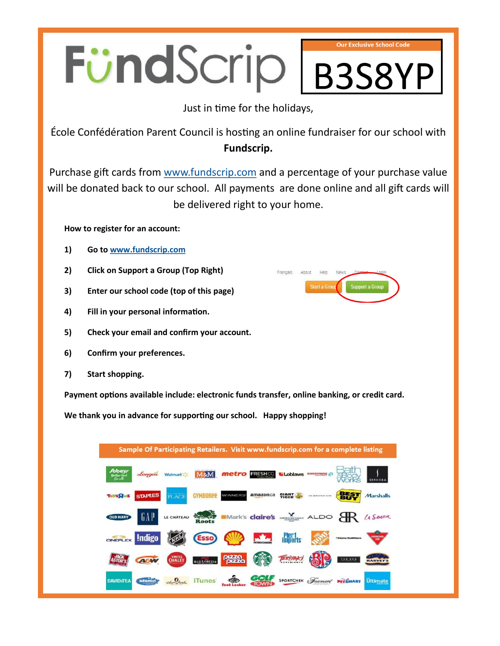# FündScrip **Our Exclusive School Code** B3S8YP

Just in time for the holidays,

École Confédération Parent Council is hosting an online fundraiser for our school with **Fundscrip.**

Purchase gift cards from [www.fundscrip.com](https://www.fundscrip.com/) and a percentage of your purchase value will be donated back to our school. All payments are done online and all gift cards will be delivered right to your home.

**How to register for an account:**

- **1) Go to [www.fundscrip.com](https://www.fundscrip.com/)**
- **2) Click on Support a Group (Top Right)**
- **3) Enter our school code (top of this page)**
- **4) Fill in your personal information.**
- **5) Check your email and confirm your account.**
- **6) Confirm your preferences.**
- **7) Start shopping.**

**Payment options available include: electronic funds transfer, online banking, or credit card.**

**We thank you in advance for supporting our school. Happy shopping!**